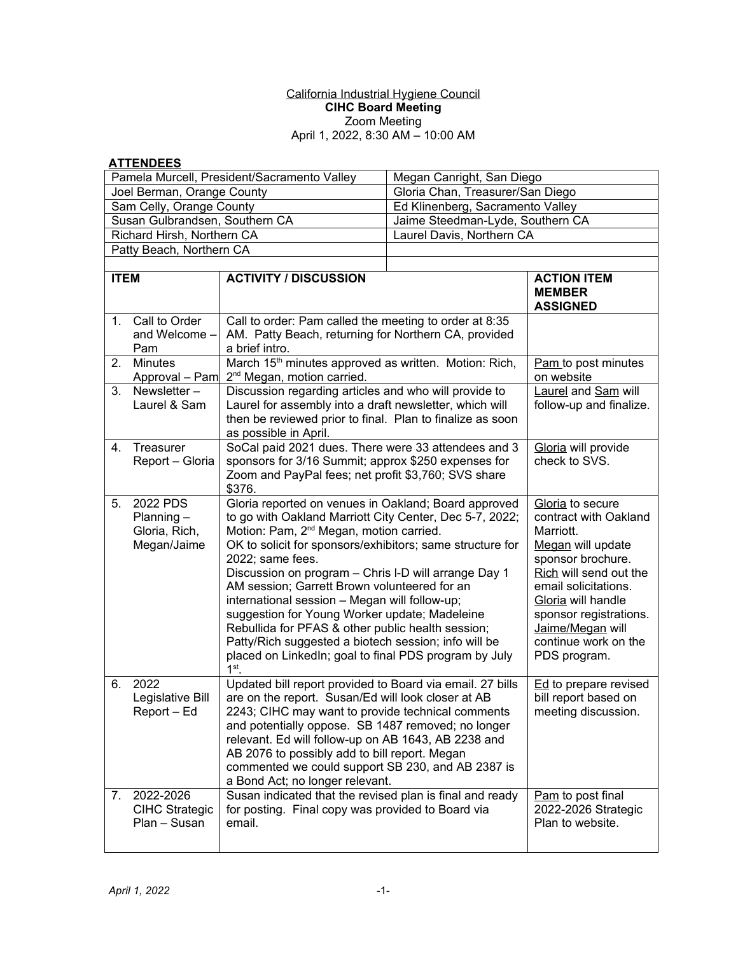## California Industrial Hygiene Council **CIHC Board Meeting**  Zoom Meeting April 1, 2022, 8:30 AM – 10:00 AM

## **ATTENDEES**

| Pamela Murcell, President/Sacramento Valley |                                                          |                                                                                                                                                                                                                                                                                                                                                                                                                                                                                                                                                                                                                                                    | Megan Canright, San Diego        |                                                                                                                                                                                                                                                                |
|---------------------------------------------|----------------------------------------------------------|----------------------------------------------------------------------------------------------------------------------------------------------------------------------------------------------------------------------------------------------------------------------------------------------------------------------------------------------------------------------------------------------------------------------------------------------------------------------------------------------------------------------------------------------------------------------------------------------------------------------------------------------------|----------------------------------|----------------------------------------------------------------------------------------------------------------------------------------------------------------------------------------------------------------------------------------------------------------|
| Joel Berman, Orange County                  |                                                          |                                                                                                                                                                                                                                                                                                                                                                                                                                                                                                                                                                                                                                                    | Gloria Chan, Treasurer/San Diego |                                                                                                                                                                                                                                                                |
| Sam Celly, Orange County                    |                                                          |                                                                                                                                                                                                                                                                                                                                                                                                                                                                                                                                                                                                                                                    | Ed Klinenberg, Sacramento Valley |                                                                                                                                                                                                                                                                |
| Susan Gulbrandsen, Southern CA              |                                                          |                                                                                                                                                                                                                                                                                                                                                                                                                                                                                                                                                                                                                                                    | Jaime Steedman-Lyde, Southern CA |                                                                                                                                                                                                                                                                |
| Richard Hirsh, Northern CA                  |                                                          |                                                                                                                                                                                                                                                                                                                                                                                                                                                                                                                                                                                                                                                    | Laurel Davis, Northern CA        |                                                                                                                                                                                                                                                                |
| Patty Beach, Northern CA                    |                                                          |                                                                                                                                                                                                                                                                                                                                                                                                                                                                                                                                                                                                                                                    |                                  |                                                                                                                                                                                                                                                                |
| <b>ITEM</b>                                 |                                                          |                                                                                                                                                                                                                                                                                                                                                                                                                                                                                                                                                                                                                                                    |                                  |                                                                                                                                                                                                                                                                |
|                                             |                                                          | <b>ACTIVITY / DISCUSSION</b>                                                                                                                                                                                                                                                                                                                                                                                                                                                                                                                                                                                                                       |                                  | <b>ACTION ITEM</b><br><b>MEMBER</b><br><b>ASSIGNED</b>                                                                                                                                                                                                         |
| 1.                                          | Call to Order<br>and Welcome -<br>Pam                    | Call to order: Pam called the meeting to order at 8:35<br>AM. Patty Beach, returning for Northern CA, provided<br>a brief intro.                                                                                                                                                                                                                                                                                                                                                                                                                                                                                                                   |                                  |                                                                                                                                                                                                                                                                |
| 2.                                          | <b>Minutes</b><br>Approval - Pam                         | March 15 <sup>th</sup> minutes approved as written. Motion: Rich,<br>2 <sup>nd</sup> Megan, motion carried.                                                                                                                                                                                                                                                                                                                                                                                                                                                                                                                                        |                                  | Pam to post minutes<br>on website                                                                                                                                                                                                                              |
| 3.                                          | Newsletter-<br>Laurel & Sam                              | Discussion regarding articles and who will provide to<br>Laurel and Sam will<br>Laurel for assembly into a draft newsletter, which will<br>follow-up and finalize.<br>then be reviewed prior to final. Plan to finalize as soon<br>as possible in April.                                                                                                                                                                                                                                                                                                                                                                                           |                                  |                                                                                                                                                                                                                                                                |
| 4.                                          | Treasurer<br>Report - Gloria                             | SoCal paid 2021 dues. There were 33 attendees and 3<br>sponsors for 3/16 Summit; approx \$250 expenses for<br>Zoom and PayPal fees; net profit \$3,760; SVS share<br>\$376.                                                                                                                                                                                                                                                                                                                                                                                                                                                                        |                                  | Gloria will provide<br>check to SVS.                                                                                                                                                                                                                           |
| 5.                                          | 2022 PDS<br>$Planning -$<br>Gloria, Rich,<br>Megan/Jaime | Gloria reported on venues in Oakland; Board approved<br>to go with Oakland Marriott City Center, Dec 5-7, 2022;<br>Motion: Pam, 2 <sup>nd</sup> Megan, motion carried.<br>OK to solicit for sponsors/exhibitors; same structure for<br>2022; same fees.<br>Discussion on program - Chris I-D will arrange Day 1<br>AM session; Garrett Brown volunteered for an<br>international session - Megan will follow-up;<br>suggestion for Young Worker update; Madeleine<br>Rebullida for PFAS & other public health session;<br>Patty/Rich suggested a biotech session; info will be<br>placed on LinkedIn; goal to final PDS program by July<br>$1st$ . |                                  | Gloria to secure<br>contract with Oakland<br>Marriott.<br>Megan will update<br>sponsor brochure.<br>Rich will send out the<br>email solicitations.<br>Gloria will handle<br>sponsor registrations.<br>Jaime/Megan will<br>continue work on the<br>PDS program. |
| 6.                                          | 2022<br>Legislative Bill<br>Report - Ed                  | Updated bill report provided to Board via email. 27 bills<br>are on the report. Susan/Ed will look closer at AB<br>2243; CIHC may want to provide technical comments<br>and potentially oppose. SB 1487 removed; no longer<br>relevant. Ed will follow-up on AB 1643, AB 2238 and<br>AB 2076 to possibly add to bill report. Megan<br>commented we could support SB 230, and AB 2387 is<br>a Bond Act; no longer relevant.                                                                                                                                                                                                                         |                                  | Ed to prepare revised<br>bill report based on<br>meeting discussion.                                                                                                                                                                                           |
| 7.                                          | 2022-2026<br><b>CIHC Strategic</b><br>Plan - Susan       | Susan indicated that the revised plan is final and ready<br>for posting. Final copy was provided to Board via<br>email.                                                                                                                                                                                                                                                                                                                                                                                                                                                                                                                            |                                  | Pam to post final<br>2022-2026 Strategic<br>Plan to website.                                                                                                                                                                                                   |